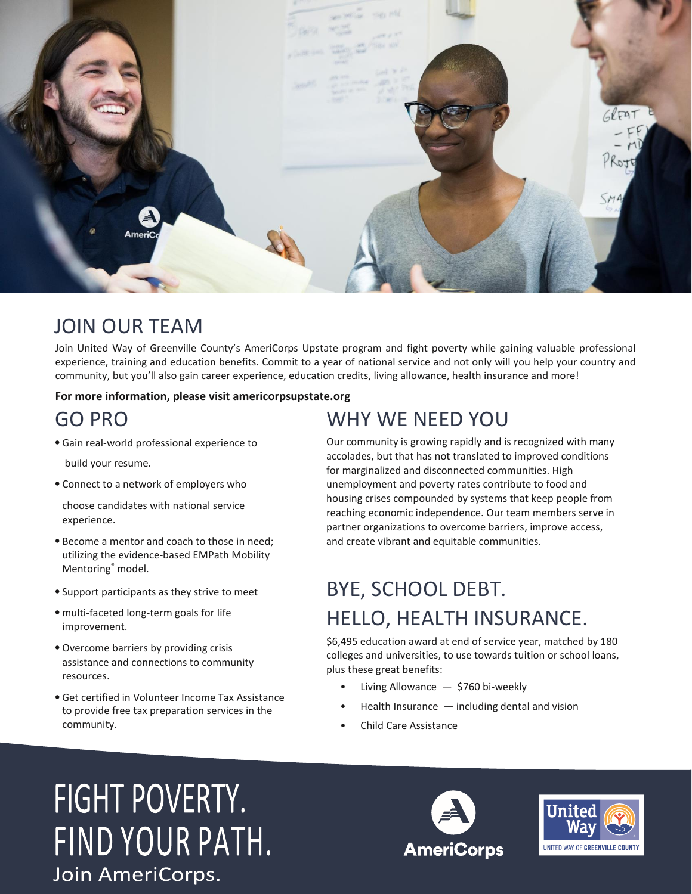

### JOIN OUR TEAM

Join United Way of Greenville County's AmeriCorps Upstate program and fight poverty while gaining valuable professional experience, training and education benefits. Commit to a year of national service and not only will you help your country and community, but you'll also gain career experience, education credits, living allowance, health insurance and more!

#### **For more information, please visit americorpsupstate.org**

### GO PRO

- •Gain real-world professional experience to build your resume.
- Connect to a network of employers who

choose candidates with national service experience.

- Become a mentor and coach to those in need; utilizing the evidence-based EMPath Mobility Mentoring® model.
- Support participants as they strive to meet
- •multi-faceted long-term goals for life improvement.
- •Overcome barriers by providing crisis assistance and connections to community resources.
- •Get certified in Volunteer Income Tax Assistance to provide free tax preparation services in the community.

### WHY WE NEED YOU

Our community is growing rapidly and is recognized with many accolades, but that has not translated to improved conditions for marginalized and disconnected communities. High unemployment and poverty rates contribute to food and housing crises compounded by systems that keep people from reaching economic independence. Our team members serve in partner organizations to overcome barriers, improve access, and create vibrant and equitable communities.

# BYE, SCHOOL DEBT. HELLO, HEALTH INSURANCE.

\$6,495 education award at end of service year, matched by 180 colleges and universities, to use towards tuition or school loans, plus these great benefits:

- Living Allowance \$760 bi-weekly
- Health Insurance including dental and vision
- Child Care Assistance

# FIGHT POVERTY. FIND YOUR PATH. Join AmeriCorps.